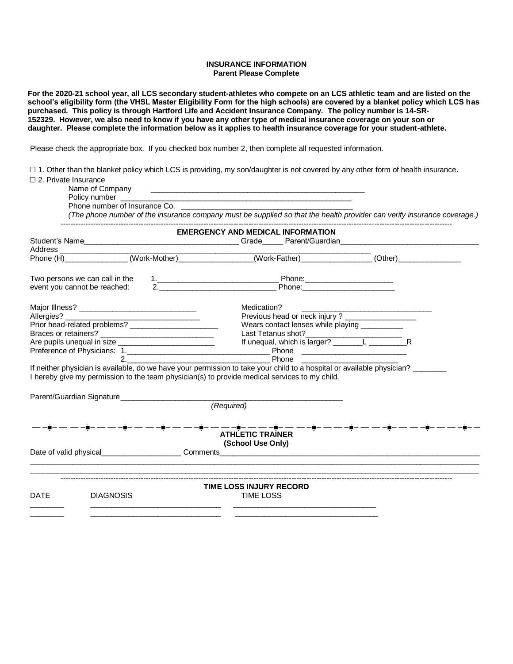## **INSURANCE INFORMATION Parent Please Complete**

**For the 2020-21 school year, all LCS secondary student-athletes who compete on an LCS athletic team and are listed on the school's eligibility form (the VHSL Master Eligibility Form for the high schools) are covered by a blanket policy which LCS has purchased. This policy is through Hartford Life and Accident Insurance Company. The policy number is 14-SR-152329. However, we also need to know if you have any other type of medical insurance coverage on your son or daughter. Please complete the information below as it applies to health insurance coverage for your student-athlete.**

Please check the appropriate box. If you checked box number 2, then complete all requested information.

☐ 1. Other than the blanket policy which LCS is providing, my son/daughter is not covered by any other form of health insurance. ☐ 2. Private Insurance

|             | Name of Company<br>Policy number<br>Phone number of Insurance Co.<br>(The phone number of the insurance company must be supplied so that the health provider can verify insurance coverage.)                                       |  | <u> 1980 - Johann Stoff, deutscher Stoff, der Stoff, der Stoff, der Stoff, der Stoff, der Stoff, der Stoff, der S</u><br><u> 1989 - Johann John Stein, mars et al. 1989 - John Stein, mars et al. 1989 - John Stein, mars et al. 198</u> |  |  |  |  |
|-------------|------------------------------------------------------------------------------------------------------------------------------------------------------------------------------------------------------------------------------------|--|------------------------------------------------------------------------------------------------------------------------------------------------------------------------------------------------------------------------------------------|--|--|--|--|
|             |                                                                                                                                                                                                                                    |  | <b>EMERGENCY AND MEDICAL INFORMATION</b>                                                                                                                                                                                                 |  |  |  |  |
|             |                                                                                                                                                                                                                                    |  |                                                                                                                                                                                                                                          |  |  |  |  |
|             |                                                                                                                                                                                                                                    |  |                                                                                                                                                                                                                                          |  |  |  |  |
|             |                                                                                                                                                                                                                                    |  |                                                                                                                                                                                                                                          |  |  |  |  |
|             |                                                                                                                                                                                                                                    |  |                                                                                                                                                                                                                                          |  |  |  |  |
|             |                                                                                                                                                                                                                                    |  | Medication?                                                                                                                                                                                                                              |  |  |  |  |
|             |                                                                                                                                                                                                                                    |  | Medication?<br>Previous head or neck injury ? _____________________                                                                                                                                                                      |  |  |  |  |
|             |                                                                                                                                                                                                                                    |  | Wears contact lenses while playing __________                                                                                                                                                                                            |  |  |  |  |
|             |                                                                                                                                                                                                                                    |  |                                                                                                                                                                                                                                          |  |  |  |  |
|             |                                                                                                                                                                                                                                    |  |                                                                                                                                                                                                                                          |  |  |  |  |
|             |                                                                                                                                                                                                                                    |  |                                                                                                                                                                                                                                          |  |  |  |  |
|             | $2^{+}$                                                                                                                                                                                                                            |  | <b>Example 2018</b> Phone                                                                                                                                                                                                                |  |  |  |  |
|             | If neither physician is available, do we have your permission to take your child to a hospital or available physician?<br>I hereby give my permission to the team physician(s) to provide medical services to my child.            |  |                                                                                                                                                                                                                                          |  |  |  |  |
|             |                                                                                                                                                                                                                                    |  |                                                                                                                                                                                                                                          |  |  |  |  |
|             |                                                                                                                                                                                                                                    |  | (Required)                                                                                                                                                                                                                               |  |  |  |  |
|             | Date of valid physical <u>comments</u> Comments comments comments and the set of valid physical comments comments comments of the set of values of values of values of values of values of values of values of values of values of |  | <b>ATHLETIC TRAINER</b><br>(School Use Only)                                                                                                                                                                                             |  |  |  |  |
| <b>DATE</b> | <b>DIAGNOSIS</b>                                                                                                                                                                                                                   |  | <b>TIME LOSS INJURY RECORD</b><br><b>TIME LOSS</b>                                                                                                                                                                                       |  |  |  |  |
|             |                                                                                                                                                                                                                                    |  |                                                                                                                                                                                                                                          |  |  |  |  |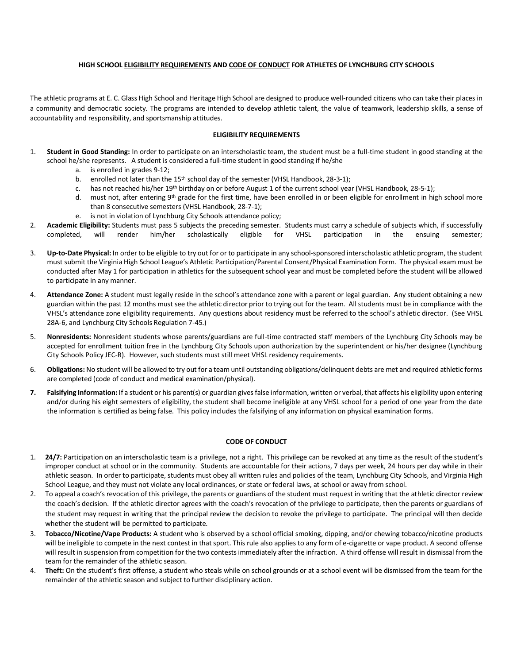## **HIGH SCHOOL ELIGIBILITY REQUIREMENTS AND CODE OF CONDUCT FOR ATHLETES OF LYNCHBURG CITY SCHOOLS**

The athletic programs at E. C. Glass High School and Heritage High School are designed to produce well-rounded citizens who can take their places in a community and democratic society. The programs are intended to develop athletic talent, the value of teamwork, leadership skills, a sense of accountability and responsibility, and sportsmanship attitudes.

## **ELIGIBILITY REQUIREMENTS**

- 1. **Student in Good Standing:** In order to participate on an interscholastic team, the student must be a full-time student in good standing at the school he/she represents. A student is considered a full-time student in good standing if he/she
	- a. is enrolled in grades 9-12;
	- b. enrolled not later than the 15<sup>th</sup> school day of the semester (VHSL Handbook, 28-3-1);
	- c. has not reached his/her 19th birthday on or before August 1 of the current school year (VHSL Handbook, 28-5-1);
	- d. must not, after entering 9<sup>th</sup> grade for the first time, have been enrolled in or been eligible for enrollment in high school more than 8 consecutive semesters (VHSL Handbook, 28-7-1);
	- e. is not in violation of Lynchburg City Schools attendance policy;
- 2. **Academic Eligibility:** Students must pass 5 subjects the preceding semester. Students must carry a schedule of subjects which, if successfully completed, will render him/her scholastically eligible for VHSL participation in the ensuing semester;
- 3. **Up-to-Date Physical:** In order to be eligible to try out for or to participate in any school-sponsored interscholastic athletic program, the student must submit the Virginia High School League's Athletic Participation/Parental Consent/Physical Examination Form. The physical exam must be conducted after May 1 for participation in athletics for the subsequent school year and must be completed before the student will be allowed to participate in any manner.
- 4. **Attendance Zone:** A student must legally reside in the school's attendance zone with a parent or legal guardian. Any student obtaining a new guardian within the past 12 months must see the athletic director prior to trying out for the team. All students must be in compliance with the VHSL's attendance zone eligibility requirements. Any questions about residency must be referred to the school's athletic director. (See VHSL 28A-6, and Lynchburg City Schools Regulation 7-45.)
- 5. **Nonresidents:** Nonresident students whose parents/guardians are full-time contracted staff members of the Lynchburg City Schools may be accepted for enrollment tuition free in the Lynchburg City Schools upon authorization by the superintendent or his/her designee (Lynchburg City Schools Policy JEC-R). However, such students must still meet VHSL residency requirements.
- 6. **Obligations:** No student will be allowed to try out for a team until outstanding obligations/delinquent debts are met and required athletic forms are completed (code of conduct and medical examination/physical).
- **7. Falsifying Information:** If a student or his parent(s) or guardian gives false information, written or verbal, that affects his eligibility upon entering and/or during his eight semesters of eligibility, the student shall become ineligible at any VHSL school for a period of one year from the date the information is certified as being false. This policy includes the falsifying of any information on physical examination forms.

## **CODE OF CONDUCT**

- 1. **24/7:** Participation on an interscholastic team is a privilege, not a right. This privilege can be revoked at any time as the result of the student's improper conduct at school or in the community. Students are accountable for their actions, 7 days per week, 24 hours per day while in their athletic season. In order to participate, students must obey all written rules and policies of the team, Lynchburg City Schools, and Virginia High School League, and they must not violate any local ordinances, or state or federal laws, at school or away from school.
- 2. To appeal a coach's revocation of this privilege, the parents or guardians of the student must request in writing that the athletic director review the coach's decision. If the athletic director agrees with the coach's revocation of the privilege to participate, then the parents or guardians of the student may request in writing that the principal review the decision to revoke the privilege to participate. The principal will then decide whether the student will be permitted to participate.
- 3. **Tobacco/Nicotine/Vape Products:** A student who is observed by a school official smoking, dipping, and/or chewing tobacco/nicotine products will be ineligible to compete in the next contest in that sport. This rule also applies to any form of e-cigarette or vape product. A second offense will result in suspension from competition for the two contests immediately after the infraction. A third offense will result in dismissal from the team for the remainder of the athletic season.
- 4. **Theft:** On the student's first offense, a student who steals while on school grounds or at a school event will be dismissed from the team for the remainder of the athletic season and subject to further disciplinary action.